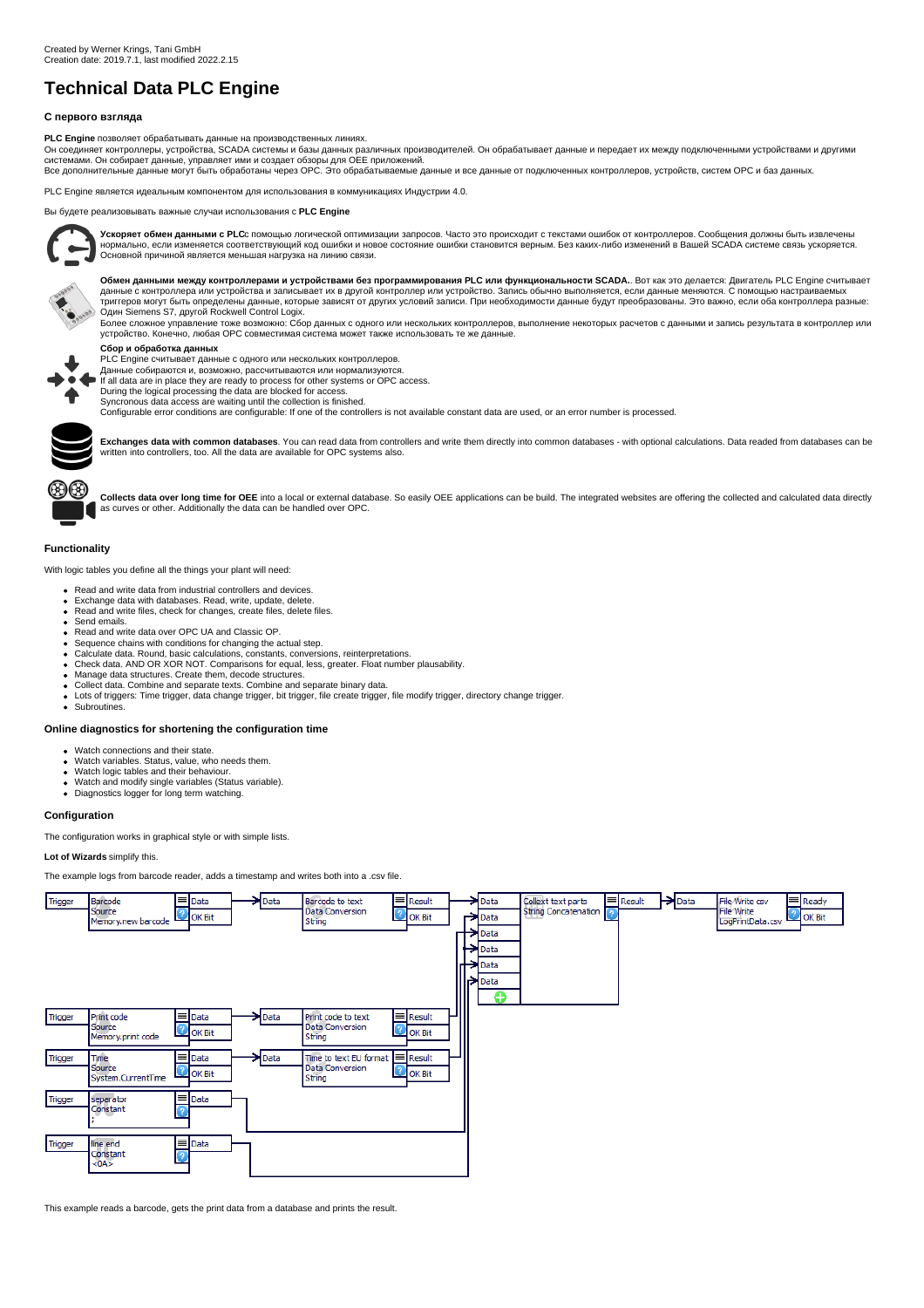# **Technical Data PLC Engine**

# **С первого взгляда**

**PLC Engine** позволяет обрабатывать данные на производственных линиях.

Он соединяет контроллеры, устройства, SCADA системы и базы данных различных производителей. Он обрабатывает данные и передает их между подключенными устройствами и другими системами. Он собирает данные, управляет ими и создает обзоры для ОЕЕ приложений.<br>Все дополнительные данные могут быть обработаны через ОРС. Это обрабатываемые данные и все данные от подключенных контроллеров, устройств,

PLC Engine является идеальным компонентом для использования в коммуникациях Индустрии 4.0.

Вы будете реализовывать важные случаи использования с **PLC Engine**



**Ускоряет обмен данными с PLC**с помощью логической оптимизации запросов. Часто это происходит с текстами ошибок от контроллеров. Сообщения должны быть извлечены<br>нормально, если изменяется соответствующий код ошибки и ново Основной причиной является меньшая нагрузка на линию связи.



**Обмен данными между контроллерами и устройствами без программирования PLC или функциональности SCADA.**. Вот как это делается: Двигатель PLC Engine считывает<br>данные с контроллера или устройства и за простром контроллер ил

Один Siemens S7, другой Rockwell Control Logix.<br>Более сложное управление тоже возможно: Сбор данных с одного или нескольких контроллеров, выполнение некоторых расчетов с данными и запись результата в контроллер или устройство. Конечно, любая OPC совместимая система может также использовать те же данные.

## **Сбор и обработка данных**

PLC Engine считывает данные с одного или нескольких контроллеров.

Данные собираются и, возможно, рассчитываются или нормализуются.

If all data are in place they are ready to process for other systems or OPC access.

During the logical processing the data are blocked for access. Syncronous data access are waiting until the collection is finished.

Configurable error conditions are configurable: If one of the controllers is not available constant data are used, or an error number is processed.



**Exchanges data with common databases**. You can read data from controllers and write them directly into common databases - with optional calculations. Data readed from databases can be written into controllers, too. All the data are available for OPC systems also.



Collects data over long time for OEE into a local or external database. So easily OEE applications can be build. The integrated websites are offering the collected and calculated data directly as curves or other. Additionally the data can be handled over OPC.

### **Functionality**

With logic tables you define all the things your plant will need:

- Read and write data from industrial controllers and devices.
- Exchange data with databases. Read, write, update, delete. Exchange data with databases. Read, whic, update, delete.<br>Read and write files, check for changes, create files, delete files.
- Send emails.
- Read and write data over OPC UA and Classic OP.
- 
- Sequence chains with conditions for changing the actual step. Calculate data. Round, basic calculations, constants, conversions, reinterpretations.
- Check data. AND OR XOR NOT. Comparisons for equal, less, greater. Float number plausability.
- 
- Manage data structures. Create them, decode structures. Collect data. Combine and separate texts. Combine and separate binary data.
- Lots of triggers: Time trigger, data change trigger, bit trigger, file create trigger, file modify trigger, directory change trigger. Subroutines.

### **Online diagnostics for shortening the configuration time**

- Watch connections and their state.
- Watch variables. Status, value, who needs them.<br>Watch logic tables and their behaviour.
- 
- Watch and modify single variables (Status variable). Diagnostics logger for long term watching.

#### **Configuration**

The configuration works in graphical style or with simple lists.

## **Lot of Wizards** simplify this.

The example logs from barcode reader, adds a timestamp and writes both into a .csv file.



This example reads a barcode, gets the print data from a database and prints the result.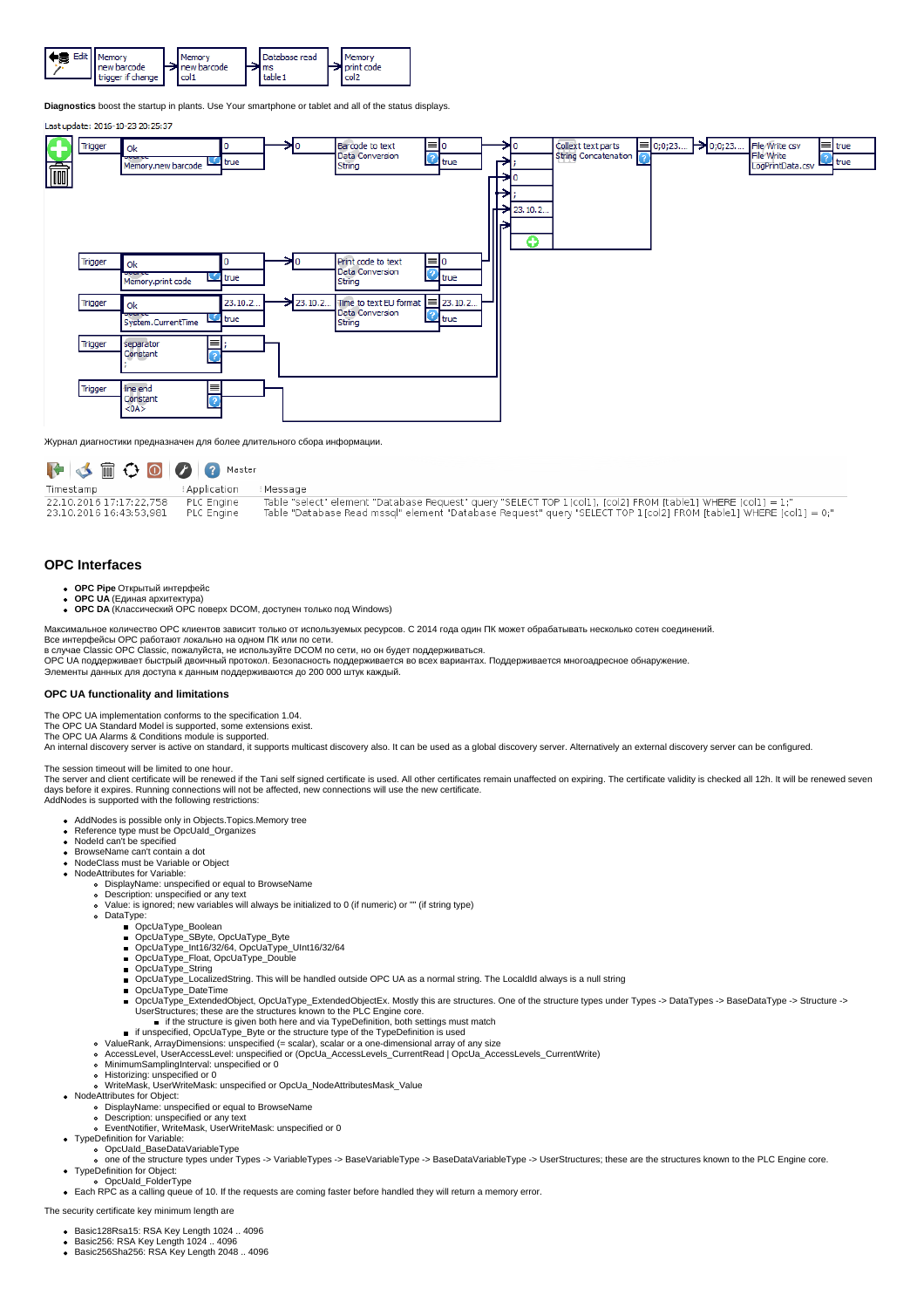

**Diagnostics** boost the startup in plants. Use Your smartphone or tablet and all of the status displays.

### Last undate: 2016-10-23 20:25:37

![](_page_1_Figure_3.jpeg)

Журнал диагностики предназначен для более длительного сбора информации.

| FSAOOO                                             |                          |                                                                                                                                                                                                                                   |
|----------------------------------------------------|--------------------------|-----------------------------------------------------------------------------------------------------------------------------------------------------------------------------------------------------------------------------------|
| Timestamp                                          | Application              | : Message                                                                                                                                                                                                                         |
| 22.10.2016 17:17:22.758<br>23.10.2016 16:43:53.981 | PLC Engine<br>PLC Engine | Table "select" element "Database Request" query "SELECT TOP 1[col1], [col2] FROM [table1] WHERE [col1] = 1;"<br>Table "Database Read mssgl" element "Database Request" query "SELECT TOP 1[col2] FROM [table1] WHERE [col1] = 0;" |

## **OPC Interfaces**

- **OPC Pipe** Открытый интерфейс
- **OPC UA** (Единая архитектура)
- **OPC DA** (Классический OPC поверх DCOM, доступен только под Windows)

Максимальное количество OPC клиентов зависит только от используемых ресурсов. С 2014 года один ПК может обрабатывать несколько сотен соединений.

Все интерфейсы OPC работают локально на одном ПК или по сети. в случае Classic OPC Classic, пожалуйста, не используйте DCOM по сети, но он будет поддерживаться.

OPC UA поддерживает быстрый двоичный протокол. Безопасность поддерживается во всех вариантах. Поддерживается многоадресное обнаружение. Элементы данных для доступа к данным поддерживаются до 200 000 штук каждый.

### **OPC UA functionality and limitations**

The OPC UA implementation conforms to the specification 1.04.

The OPC UA Standard Model is supported, some extensions exist. The OPC UA Alarms & Conditions module is supported.

An internal discovery server is active on standard, it supports multicast discovery also. It can be used as a global discovery server. Alternatively an external discovery server can be configured.

The session timeout will be limited to one hour.

The server and client certificate will be renewed if the Tani self signed certificate is used. All other certificates remain unaffected on expiring. The certificate validity is checked all 12h. It will be renewed seven<br>day AddNodes is supported with the following restrictions:

- AddNodes is possible only in Objects.Topics.Memory tree
- 
- Reference type must be OpcUaId\_Organizes NodeId can't be specified
- BrowseName can't contain a dot
- NodeClass must be Variable or Object
- NodeAttributes for Variable:
	- DisplayName: unspecified or equal to BrowseName Description: unspecified or any text
	- Value: is ignored; new variables will always be initialized to 0 (if numeric) or "" (if string type)
	- $\circ$ DataType:
		-
		-
		- OpcUaType\_Boolean<br>OpcUaType\_SByte, OpcUaType\_Byte<br>OpcUaType\_Int16/32/64, OpcUaType\_UInt16/32/64
		- OpcUaType\_Float, OpcUaType\_Double
		- OpcUaType\_String
		- OpcUaType\_LocalizedString. This will be handled outside OPC UA as a normal string. The LocaldId always is a null string
		- OpcUaType\_DateTime  $\blacksquare$
		- ä, OpcUaType\_ExtendedObject, OpcUaType\_ExtendedObjectEx. Mostly this are structures. One of the structure types under Types -> DataTypes -> BaseDataType -> Structure -><br>UserStructures; these are the structures known to the PL
		- **if the structure is given both here and via TypeDefinition, both settings must match**
		- if unspecified, OpcUaType\_Byte or the structure type of the TypeDefinition is used ValueRank, ArrayDimensions: unspecified (= scalar), scalar or a one-dimensional array of any size
		-
		- AccessLevel, UserAccessLevel: unspecified or (OpcUa\_AccessLevels\_CurrentRead | OpcUa\_AccessLevels\_CurrentWrite)<br>MinimumSamplingInterval: unspecified or 0
	-
	- $\sim$
- Historizing: unspecified or 0<br>WriteMask, UserWriteMask: unspecified or OpcUa\_NodeAttributesMask\_Value\_ • NodeAttributes for Object:
	-
	- DisplayName: unspecified or equal to BrowseName Description: unspecified or any text
	- EventNotifier, WriteMask, UserWriteMask: unspecified or 0 TypeDefinition for Variable:
- - OpcUaId\_BaseDataVariableType
- one of the structure types under Types -> VariableTypes -> BaseVariableType -> BaseDataVariableType -> UserStructures; these are the structures known to the PLC Engine core. • TypeDefinition for Object:
- o OpcUaId\_FolderType
- Each RPC as a calling queue of 10. If the requests are coming faster before handled they will return a memory error.

The security certificate key minimum length are

- Basic128Rsa15: RSA Key Length 1024 .. 4096
- Basic256: RSA Key Length 1024 .. 4096 Basic256Sha256: RSA Key Length 2048 .. 4096
-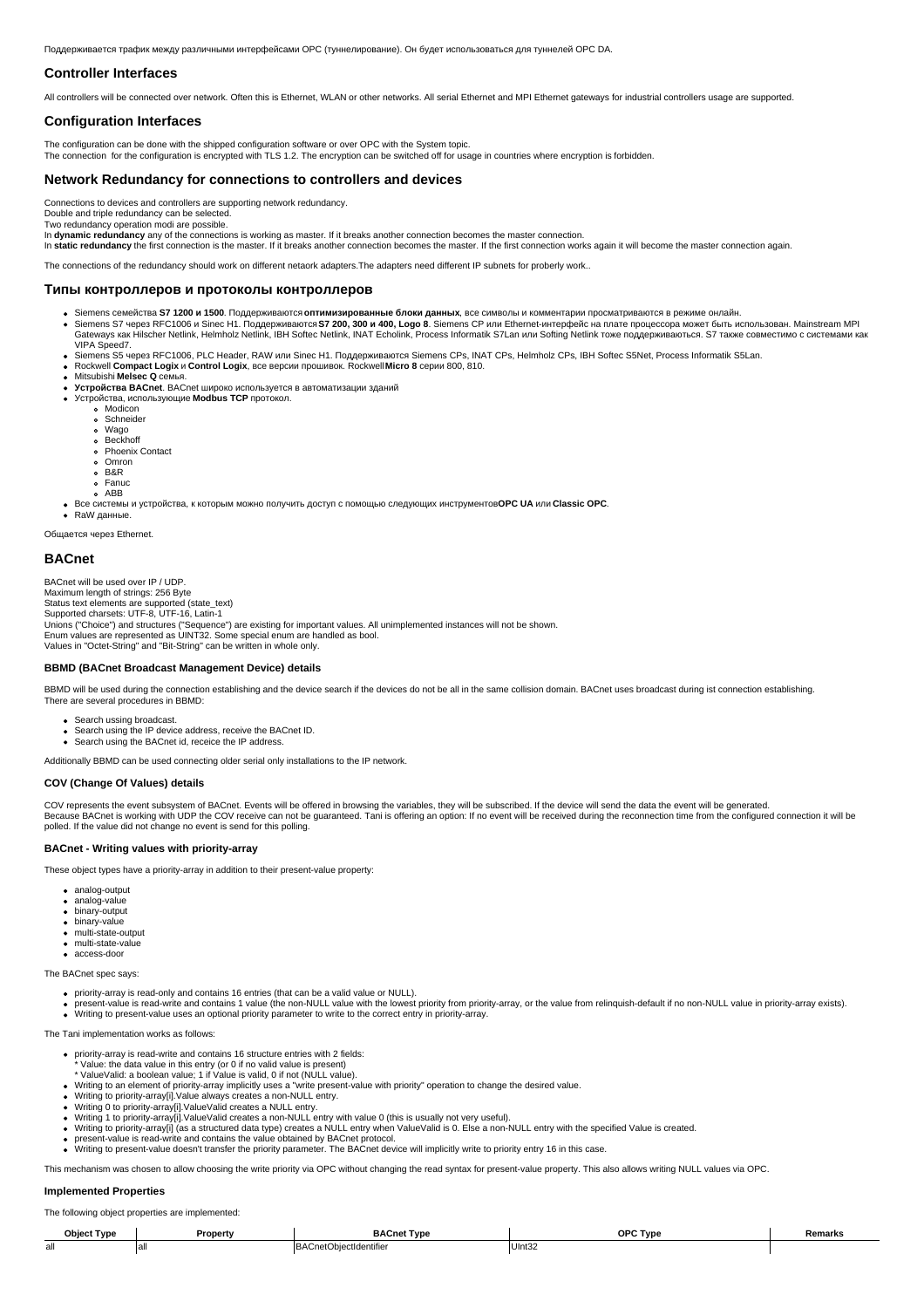Поддерживается трафик между различными интерфейсами OPC (туннелирование). Он будет использоваться для туннелей OPC DA.

## **Controller Interfaces**

All controllers will be connected over network. Often this is Ethernet, WLAN or other networks. All serial Ethernet and MPI Ethernet gateways for industrial controllers usage are supported.

## **Configuration Interfaces**

The configuration can be done with the shipped configuration software or over OPC with the System topic.<br>The connection for the configuration is encrypted with TLS 1.2. The encryption can be switched off for usage in coun

# **Network Redundancy for connections to controllers and devices**

Connections to devices and controllers are supporting network redundancy.

Double and triple redundancy can be selected. Two redundancy operation modi are possible.

In **dynamic redundancy** any of the connections is working as master. If it breaks another connection becomes the master connection.

In static redundancy the first connection is the master. If it breaks another connection becomes the master. If the first connection works again it will become the master connection again.

The connections of the redundancy should work on different netaork adapters.The adapters need different IP subnets for proberly work..

#### **Типы контроллеров и протоколы контроллеров**

- 
- Siemens семейства **S7 1200 и 1500**. Поддерживаются **оптимизированные блоки данных**, все символы и комментарии просматриваются в режиме онлайн.<br>Siemens S7 через RFC1006 и Sinec H1. Поддерживаются **S7 200, 100 Logo 8.** Siem VIPA Speed7.
- Siemens S5 через RFC1006, PLC Header, RAW или Sinec H1. Поддерживаются Siemens CPs, INAT CPs, Helmholz CPs, IBH Softec S5Net, Process Informatik S5Lan.<br>Rockwell **Compact Logix и Control Logix**, все версии прошивок. Rockwe
- 
- Mitsubishi **Melsec Q** семья.
- **Устройства BACnet**. BACnet широко используется в автоматизации зданий Устройства, использующие **Modbus TCP** протокол.
	- - Modicon Schneider
		- Wago Beckhoff
		-
		- Phoenix Contact
		- Omron B&R
		- o Fanuc
	- ABB
- Все системы и устройства, к которым можно получить доступ с помощью следующих инструментов**OPC UA** или **Classic OPC**. RaW данные.

Общается через Ethernet.

## **BACnet**

BACnet will be used over IP / UDP.

Maximum length of strings: 256 Byte Status text elements are supported (state\_text)

Supported charsets: UTF-8, UTF-16, Latin-1

Unions ("Choice") and structures ("Sequence") are existing for important values. All unimplemented instances will not be shown.

Enum values are represented as UINT32. Some special enum are handled as bool. Values in "Octet-String" and "Bit-String" can be written in whole only.

# **BBMD (BACnet Broadcast Management Device) details**

BBMD will be used during the connection establishing and the device search if the devices do not be all in the same collision domain. BACnet uses broadcast during ist connection establishing. There are several procedures in BBMD:

- Search ussing broadcast
- Search using the IP device address, receive the BACnet ID. Search using the BACnet id, receice the IP address.
- Additionally BBMD can be used connecting older serial only installations to the IP network.

### **COV (Change Of Values) details**

COV represents the event subsystem of BACnet. Events will be offered in browsing the variables, they will be subscribed. If the device will send the data the event will be generated.<br>Because BACnet is working with UDP the polled. If the value did not change no event is send for this polling.

## **BACnet - Writing values with priority-array**

These object types have a priority-array in addition to their present-value property:

- analog-output
- analog-value binary-output
- **binary-value**
- multi-state-output
- multi-state-value
- access-door

The BACnet spec says:

- priority-array is read-only and contains 16 entries (that can be a valid value or NULL).
- present-value is read-write and contains 1 value (the non-NULL value with the lowest priority from priority-array, or the value from relinquish-default if no non-NULL value in priority-array exists).<br>Writing to present-val

The Tani implementation works as follows:

- priority-array is read-write and contains 16 structure entries with 2 fields: \* Value: the data value in this entry (or 0 if no valid value is present)
- 
- \* ValueValid: a boolean value; 1 if Value is valid, 0 if not (NULL value).<br>Writing to an element of priority-array implicitly uses a "write present-value with priority" operation to change the desired value.<br>Writing to pri
- 
- 
- 
- Writing to priority-array[i] (as a structured data type) creates a NULL entry when ValueValid is 0. Else a non-NULL entry with the specified Value is created.<br>present-value is read-write and contains the value obtained by
- Writing to present-value doesn't transfer the priority parameter. The BACnet device will implicitly write to priority entry 16 in this case.
- This mechanism was chosen to allow choosing the write priority via OPC without changing the read syntax for present-value property. This also allows writing NULL values via OPC.

## **Implemented Properties**

The following object properties are implemented:

| Ohiec<br>Tvne    | Property    | <b>BA</b><br>Tvn<br>.cnet                | OPC T<br><b>Tvnc</b> | Remarks |
|------------------|-------------|------------------------------------------|----------------------|---------|
| <b>^'</b><br>all | . .<br>idll | `net<br>ectidentifie<br>RA(<br>.007<br>. | UInt32               |         |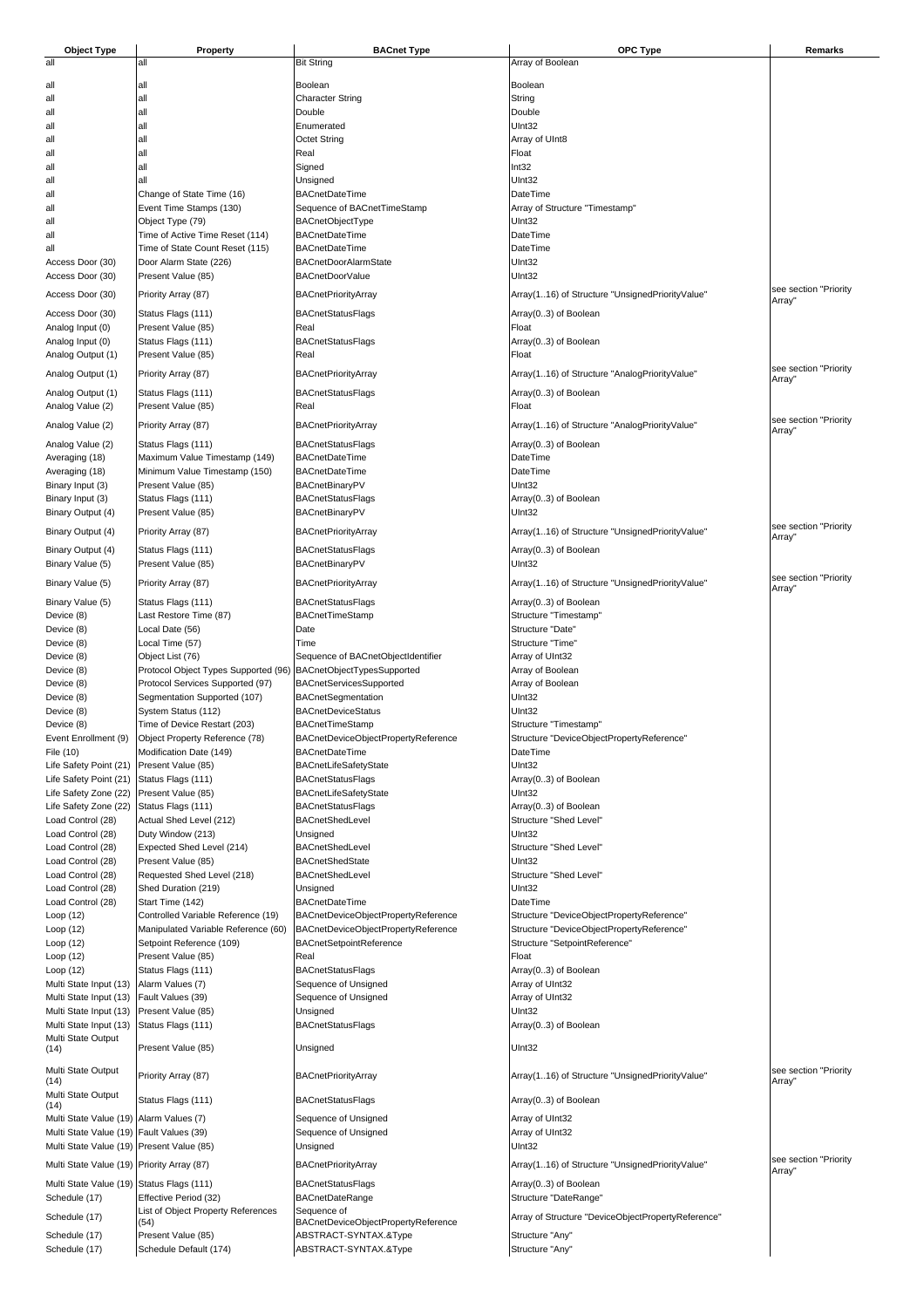| <b>Object Type</b>                         | Property                                                           | <b>BACnet Type</b>                                           | OPC Type                                              | Remarks                         |
|--------------------------------------------|--------------------------------------------------------------------|--------------------------------------------------------------|-------------------------------------------------------|---------------------------------|
| all                                        | all                                                                | <b>Bit String</b>                                            | Array of Boolean                                      |                                 |
| all                                        | all                                                                | Boolean                                                      | Boolean                                               |                                 |
| all                                        | all                                                                | <b>Character String</b>                                      | String                                                |                                 |
| all                                        | all                                                                | Double                                                       | Double                                                |                                 |
| all                                        | all                                                                | Enumerated                                                   | UInt32                                                |                                 |
| all                                        | all                                                                | <b>Octet String</b>                                          | Array of UInt8                                        |                                 |
| all<br>all                                 | all<br>all                                                         | Real<br>Signed                                               | Float<br>Int32                                        |                                 |
| all                                        | all                                                                | Unsigned                                                     | UInt32                                                |                                 |
| all                                        | Change of State Time (16)                                          | <b>BACnetDateTime</b>                                        | <b>DateTime</b>                                       |                                 |
| all                                        | Event Time Stamps (130)                                            | Sequence of BACnetTimeStamp                                  | Array of Structure "Timestamp"                        |                                 |
| all                                        | Object Type (79)                                                   | BACnetObjectType                                             | UInt32                                                |                                 |
| all<br>all                                 | Time of Active Time Reset (114)<br>Time of State Count Reset (115) | <b>BACnetDateTime</b><br><b>BACnetDateTime</b>               | <b>DateTime</b><br>DateTime                           |                                 |
| Access Door (30)                           | Door Alarm State (226)                                             | <b>BACnetDoorAlarmState</b>                                  | UInt32                                                |                                 |
| Access Door (30)                           | Present Value (85)                                                 | <b>BACnetDoorValue</b>                                       | UInt32                                                |                                 |
| Access Door (30)                           | Priority Array (87)                                                | <b>BACnetPriorityArray</b>                                   | Array(116) of Structure "UnsignedPriorityValue"       | see section "Priority           |
| Access Door (30)                           | Status Flags (111)                                                 | <b>BACnetStatusFlags</b>                                     | Array(03) of Boolean                                  | Array"                          |
| Analog Input (0)                           | Present Value (85)                                                 | Real                                                         | Float                                                 |                                 |
| Analog Input (0)                           | Status Flags (111)                                                 | BACnetStatusFlags                                            | Array(03) of Boolean                                  |                                 |
| Analog Output (1)                          | Present Value (85)                                                 | Real                                                         | Float                                                 |                                 |
| Analog Output (1)                          | Priority Array (87)                                                | <b>BACnetPriorityArray</b>                                   | Array(116) of Structure "AnalogPriorityValue"         | see section "Priority<br>Array" |
| Analog Output (1)                          | Status Flags (111)                                                 | <b>BACnetStatusFlags</b>                                     | Array(03) of Boolean                                  |                                 |
| Analog Value (2)                           | Present Value (85)                                                 | Real                                                         | Float                                                 |                                 |
| Analog Value (2)                           | Priority Array (87)                                                | <b>BACnetPriorityArray</b>                                   | Array(116) of Structure "AnalogPriorityValue"         | see section "Priority           |
| Analog Value (2)                           | Status Flags (111)                                                 | <b>BACnetStatusFlags</b>                                     | Array(03) of Boolean                                  | Array"                          |
| Averaging (18)                             | Maximum Value Timestamp (149)                                      | <b>BACnetDateTime</b>                                        | <b>DateTime</b>                                       |                                 |
| Averaging (18)                             | Minimum Value Timestamp (150)                                      | <b>BACnetDateTime</b>                                        | DateTime                                              |                                 |
| Binary Input (3)                           | Present Value (85)                                                 | <b>BACnetBinaryPV</b>                                        | UInt32                                                |                                 |
| Binary Input (3)                           | Status Flags (111)                                                 | <b>BACnetStatusFlags</b>                                     | Array(03) of Boolean                                  |                                 |
| Binary Output (4)                          | Present Value (85)                                                 | <b>BACnetBinaryPV</b>                                        | UInt32                                                | see section "Priority           |
| Binary Output (4)                          | Priority Array (87)                                                | <b>BACnetPriorityArray</b>                                   | Array(116) of Structure "UnsignedPriorityValue"       | Array"                          |
| Binary Output (4)                          | Status Flags (111)                                                 | <b>BACnetStatusFlags</b>                                     | Array(03) of Boolean                                  |                                 |
| Binary Value (5)                           | Present Value (85)                                                 | BACnetBinaryPV                                               | UInt32                                                |                                 |
| Binary Value (5)                           | Priority Array (87)                                                | <b>BACnetPriorityArray</b>                                   | Array(116) of Structure "UnsignedPriorityValue"       | see section "Priority<br>Array" |
| Binary Value (5)                           | Status Flags (111)                                                 | BACnetStatusFlags                                            | Array(03) of Boolean                                  |                                 |
| Device (8)                                 | Last Restore Time (87)                                             | BACnetTimeStamp                                              | Structure "Timestamp"                                 |                                 |
| Device (8)                                 | Local Date (56)                                                    | Date                                                         | Structure "Date"                                      |                                 |
| Device (8)                                 | Local Time (57)<br>Object List (76)                                | Time<br>Sequence of BACnetObjectIdentifier                   | Structure "Time"<br>Array of UInt32                   |                                 |
| Device (8)<br>Device (8)                   | Protocol Object Types Supported (96)                               | BACnetObjectTypesSupported                                   | Array of Boolean                                      |                                 |
| Device (8)                                 | Protocol Services Supported (97)                                   | BACnetServicesSupported                                      | Array of Boolean                                      |                                 |
| Device (8)                                 | Segmentation Supported (107)                                       | BACnetSegmentation                                           | UInt32                                                |                                 |
| Device (8)                                 | System Status (112)                                                | <b>BACnetDeviceStatus</b>                                    | UInt32                                                |                                 |
| Device (8)                                 | Time of Device Restart (203)                                       | <b>BACnetTimeStamp</b>                                       | Structure "Timestamp'                                 |                                 |
| Event Enrollment (9)<br>File (10)          | Object Property Reference (78)<br>Modification Date (149)          | BACnetDeviceObjectPropertyReference<br><b>BACnetDateTime</b> | Structure "DeviceObjectPropertyReference"<br>DateTime |                                 |
| Life Safety Point (21)                     | Present Value (85)                                                 | BACnetLifeSafetyState                                        | UInt32                                                |                                 |
| Life Safety Point (21)                     | Status Flags (111)                                                 | <b>BACnetStatusFlags</b>                                     | Array(03) of Boolean                                  |                                 |
| Life Safety Zone (22)                      | Present Value (85)                                                 | BACnetLifeSafetyState                                        | UInt32                                                |                                 |
| Life Safety Zone (22)<br>Load Control (28) | Status Flags (111)<br>Actual Shed Level (212)                      | <b>BACnetStatusFlags</b><br>BACnetShedLevel                  | Array(03) of Boolean<br>Structure "Shed Level"        |                                 |
| Load Control (28)                          | Duty Window (213)                                                  | Unsigned                                                     | UInt32                                                |                                 |
| Load Control (28)                          | Expected Shed Level (214)                                          | BACnetShedLevel                                              | Structure "Shed Level"                                |                                 |
| Load Control (28)                          | Present Value (85)                                                 | <b>BACnetShedState</b>                                       | UInt32                                                |                                 |
| Load Control (28)                          | Requested Shed Level (218)                                         | BACnetShedLevel                                              | Structure "Shed Level"                                |                                 |
| Load Control (28)<br>Load Control (28)     | Shed Duration (219)<br>Start Time (142)                            | Unsigned<br><b>BACnetDateTime</b>                            | UInt32<br>DateTime                                    |                                 |
| Loop $(12)$                                | Controlled Variable Reference (19)                                 | BACnetDeviceObjectPropertyReference                          | Structure "DeviceObjectPropertyReference"             |                                 |
| Loop $(12)$                                | Manipulated Variable Reference (60)                                | BACnetDeviceObjectPropertyReference                          | Structure "DeviceObjectPropertyReference"             |                                 |
| Loop (12)                                  | Setpoint Reference (109)                                           | BACnetSetpointReference                                      | Structure "SetpointReference"                         |                                 |
| Loop $(12)$                                | Present Value (85)                                                 | Real                                                         | Float                                                 |                                 |
| Loop (12)<br>Multi State Input (13)        | Status Flags (111)<br>Alarm Values (7)                             | <b>BACnetStatusFlags</b><br>Sequence of Unsigned             | Array(03) of Boolean<br>Array of UInt32               |                                 |
| Multi State Input (13)                     | Fault Values (39)                                                  | Sequence of Unsigned                                         | Array of UInt32                                       |                                 |
| Multi State Input (13)                     | Present Value (85)                                                 | Unsigned                                                     | UInt32                                                |                                 |
| Multi State Input (13)                     | Status Flags (111)                                                 | BACnetStatusFlags                                            | Array(03) of Boolean                                  |                                 |
| Multi State Output<br>(14)                 | Present Value (85)                                                 | Unsigned                                                     | UInt32                                                |                                 |
| Multi State Output<br>(14)                 | Priority Array (87)                                                | <b>BACnetPriorityArray</b>                                   | Array(116) of Structure "UnsignedPriorityValue"       | see section "Priority<br>Array" |
| Multi State Output<br>(14)                 | Status Flags (111)                                                 | <b>BACnetStatusFlags</b>                                     | Array(03) of Boolean                                  |                                 |
| Multi State Value (19) Alarm Values (7)    |                                                                    | Sequence of Unsigned                                         | Array of UInt32                                       |                                 |
| Multi State Value (19) Fault Values (39)   |                                                                    | Sequence of Unsigned                                         | Array of UInt32                                       |                                 |
| Multi State Value (19) Present Value (85)  |                                                                    | Unsigned                                                     | UInt32                                                |                                 |
| Multi State Value (19) Priority Array (87) |                                                                    | <b>BACnetPriorityArray</b>                                   | Array(116) of Structure "UnsignedPriorityValue"       | see section "Priority<br>Array" |
| Multi State Value (19) Status Flags (111)  |                                                                    | <b>BACnetStatusFlags</b>                                     | Array(03) of Boolean                                  |                                 |
| Schedule (17)                              | Effective Period (32)<br>List of Object Property References        | <b>BACnetDateRange</b><br>Sequence of                        | Structure "DateRange"                                 |                                 |
| Schedule (17)                              | (54)                                                               | BACnetDeviceObjectPropertyReference                          | Array of Structure "DeviceObjectPropertyReference"    |                                 |
| Schedule (17)                              | Present Value (85)                                                 | ABSTRACT-SYNTAX.&Type                                        | Structure "Any"                                       |                                 |
| Schedule (17)                              | Schedule Default (174)                                             | ABSTRACT-SYNTAX.&Type                                        | Structure "Any"                                       |                                 |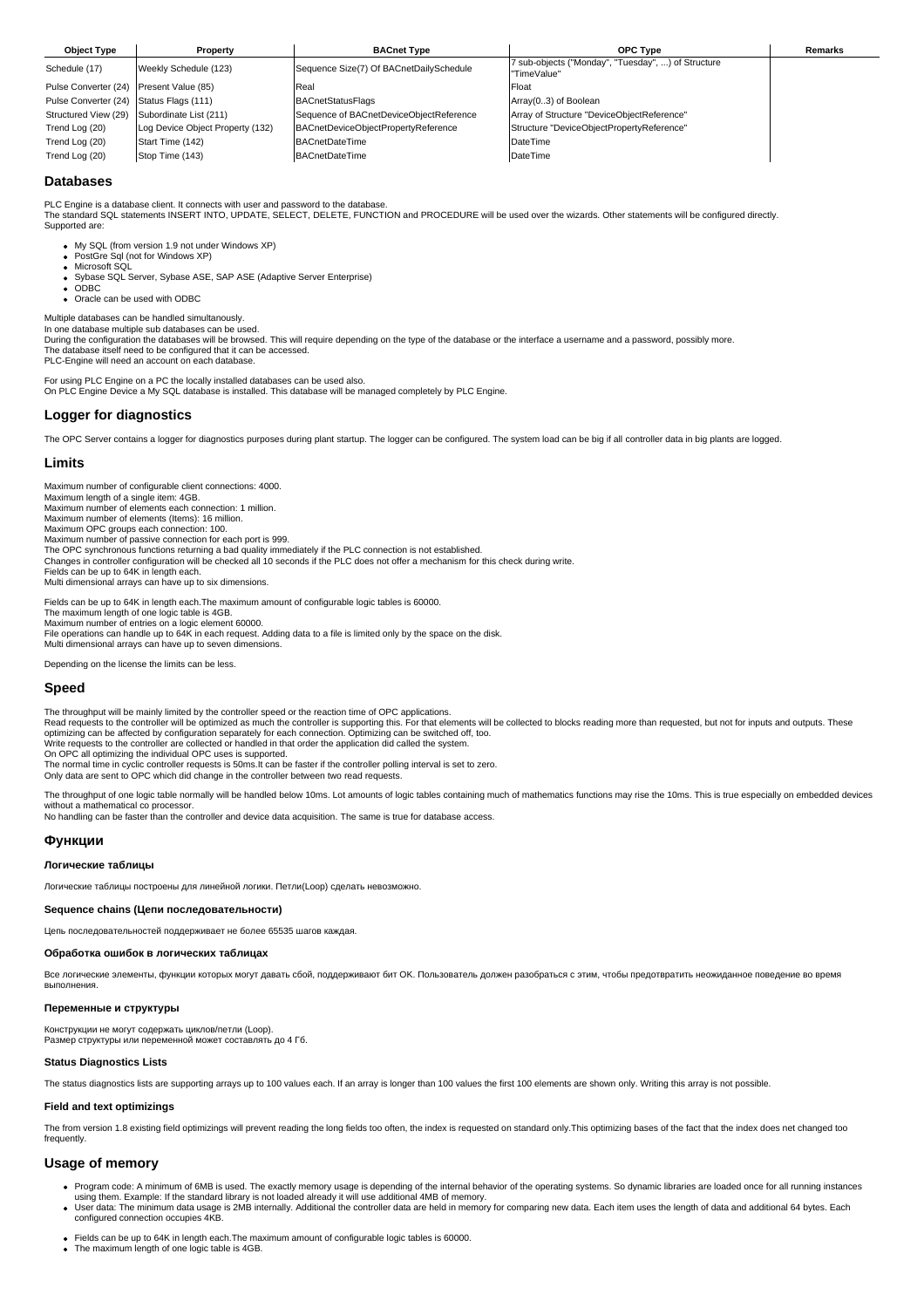| <b>Object Type</b>                      | Property                         | <b>BACnet Type</b>                      | <b>OPC Type</b>                                                   | <b>Remarks</b> |
|-----------------------------------------|----------------------------------|-----------------------------------------|-------------------------------------------------------------------|----------------|
| Schedule (17)                           | Weekly Schedule (123)            | Sequence Size(7) Of BACnetDailySchedule | 7 sub-objects ("Monday", "Tuesday", ) of Structure<br>"TimeValue" |                |
| Pulse Converter (24) Present Value (85) |                                  | Real                                    | Float                                                             |                |
| Pulse Converter (24) Status Flags (111) |                                  | <b>BACnetStatusFlags</b>                | Array(03) of Boolean                                              |                |
| Structured View (29)                    | Subordinate List (211)           | Sequence of BACnetDeviceObjectReference | Array of Structure "DeviceObjectReference"                        |                |
| Trend Log (20)                          | Log Device Object Property (132) | BACnetDeviceObjectPropertyReference     | Structure "DeviceObjectPropertyReference"                         |                |
| Trend Log (20)                          | Start Time (142)                 | <b>BACnetDateTime</b>                   | DateTime                                                          |                |
| Trend Log (20)                          | Stop Time (143)                  | <b>BACnetDateTime</b>                   | DateTime                                                          |                |

## **Databases**

PLC Engine is a database client. It connects with user and password to the database.<br>The standard SQL statements INSERT INTO, UPDATE, SELECT, DELETE, FUNCTION and PROCEDURE will be used over the wizards. Other statements w Supported are:

My SQL (from version 1.9 not under Windows XP)

- PostGre Sql (not for Windows XP) Microsoft SQL
- Sybase SQL Server, Sybase ASE, SAP ASE (Adaptive Server Enterprise)
- ODBC
- Oracle can be used with ODBC

Multiple databases can be handled simultanously.

In one database multiple sub databases can be used. During the configuration the databases will be browsed. This will require depending on the type of the database or the interface a username and a password, possibly more. The database itself need to be configured that it can be accessed.

PLC-Engine will need an account on each database

For using PLC Engine on a PC the locally installed databases can be used also. On PLC Engine Device a My SQL database is installed. This database will be managed completely by PLC Engine.

## **Logger for diagnostics**

The OPC Server contains a logger for diagnostics purposes during plant startup. The logger can be configured. The system load can be big if all controller data in big plants are logged.

## **Limits**

Maximum number of configurable client connections: 4000.

Maximum length of a single item: 4GB.

Maximum number of elements each connection: 1 million.

Maximum number of elements (Items): 16 million. Maximum OPC groups each connection: 100.

Maximum number of passive connection for each port is 999. The OPC synchronous functions returning a bad quality immediately if the PLC connection is not established.

Changes in controller configuration will be checked all 10 seconds if the PLC does not offer a mechanism for this check during write.

Fields can be up to 64K in length each. Multi dimensional arrays can have up to six dimensions.

Fields can be up to 64K in length each.The maximum amount of configurable logic tables is 60000.

The maximum length of one logic table is 4GB.<br>Maximum number of entries on a logic element 60000.<br>File operations can handle up to 64K in each request. Adding data to a file is limited only by the space on the disk.

Multi dimensional arrays can have up to seven dimensions.

Depending on the license the limits can be less.

#### **Speed**

The throughput will be mainly limited by the controller speed or the reaction time of OPC applications. Read requests to the controller will be optimized as much the controller is supporting this. For that elements will be collected to blocks reading more than requested, but not for inputs and outputs. These<br>optimizing can b

Write requests to the controller are collected or handled in that order the application did called the system.

On OPC all optimizing the individual OPC uses is supported.

The normal time in cyclic controller requests is 50ms.It can be faster if the controller polling interval is set to zero.

Only data are sent to OPC which did change in the controller between two read requests.

The throughput of one logic table normally will be handled below 10ms. Lot amounts of logic tables containing much of mathematics functions may rise the 10ms. This is true especially on embedded devices without a mathematical co processor.

No handling can be faster than the controller and device data acquisition. The same is true for database access.

## **Функции**

#### **Логические таблицы**

Логические таблицы построены для линейной логики. Петли(Loop) сделать невозможно.

#### **Sequence chains (Цепи последовательности)**

Цепь последовательностей поддерживает не более 65535 шагов каждая.

### **Обработка ошибок в логических таблицах**

Все логические элементы, функции которых могут давать сбой, поддерживают бит OK. Пользователь должен разобраться с этим, чтобы предотвратить неожиданное поведение во время выполнения.

### **Переменные и структуры**

Конструкции не могут содержать циклов/петли (Loop). Размер структуры или переменной может составлять до 4 Гб.

#### **Status Diagnostics Lists**

The status diagnostics lists are supporting arrays up to 100 values each. If an array is longer than 100 values the first 100 elements are shown only. Writing this array is not possible.

## **Field and text optimizings**

The from version 1.8 existing field optimizings will prevent reading the long fields too often, the index is requested on standard only. This optimizing bases of the fact that the index does net changed too frequently.

# **Usage of memory**

- Program code: A minimum of 6MB is used. The exactly memory usage is depending of the internal behavior of the operating systems. So dynamic libraries are loaded once for all running instances
- using them. Example: If the standard library is not loaded already it will use additional 4MB of memory.<br>User data: The minimum data usage is 2MB internally. Additional the controller data are held in memory for comparing configured connection occupies 4KB.
- Fields can be up to 64K in length each.The maximum amount of configurable logic tables is 60000. • The maximum length of one logic table is 4GB.